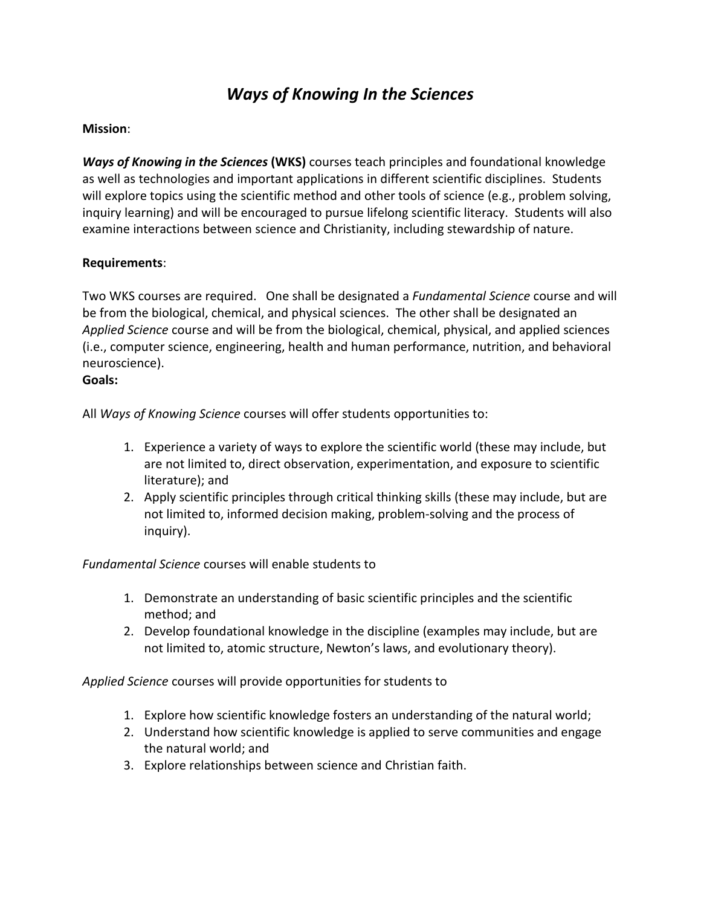# *Ways of Knowing In the Sciences*

## **Mission**:

*Ways of Knowing in the Sciences* **(WKS)** courses teach principles and foundational knowledge as well as technologies and important applications in different scientific disciplines. Students will explore topics using the scientific method and other tools of science (e.g., problem solving, inquiry learning) and will be encouraged to pursue lifelong scientific literacy. Students will also examine interactions between science and Christianity, including stewardship of nature.

## **Requirements**:

Two WKS courses are required. One shall be designated a *Fundamental Science* course and will be from the biological, chemical, and physical sciences. The other shall be designated an *Applied Science* course and will be from the biological, chemical, physical, and applied sciences (i.e., computer science, engineering, health and human performance, nutrition, and behavioral neuroscience).

#### **Goals:**

All *Ways of Knowing Science* courses will offer students opportunities to:

- 1. Experience a variety of ways to explore the scientific world (these may include, but are not limited to, direct observation, experimentation, and exposure to scientific literature); and
- 2. Apply scientific principles through critical thinking skills (these may include, but are not limited to, informed decision making, problem-solving and the process of inquiry).

*Fundamental Science* courses will enable students to

- 1. Demonstrate an understanding of basic scientific principles and the scientific method; and
- 2. Develop foundational knowledge in the discipline (examples may include, but are not limited to, atomic structure, Newton's laws, and evolutionary theory).

*Applied Science* courses will provide opportunities for students to

- 1. Explore how scientific knowledge fosters an understanding of the natural world;
- 2. Understand how scientific knowledge is applied to serve communities and engage the natural world; and
- 3. Explore relationships between science and Christian faith.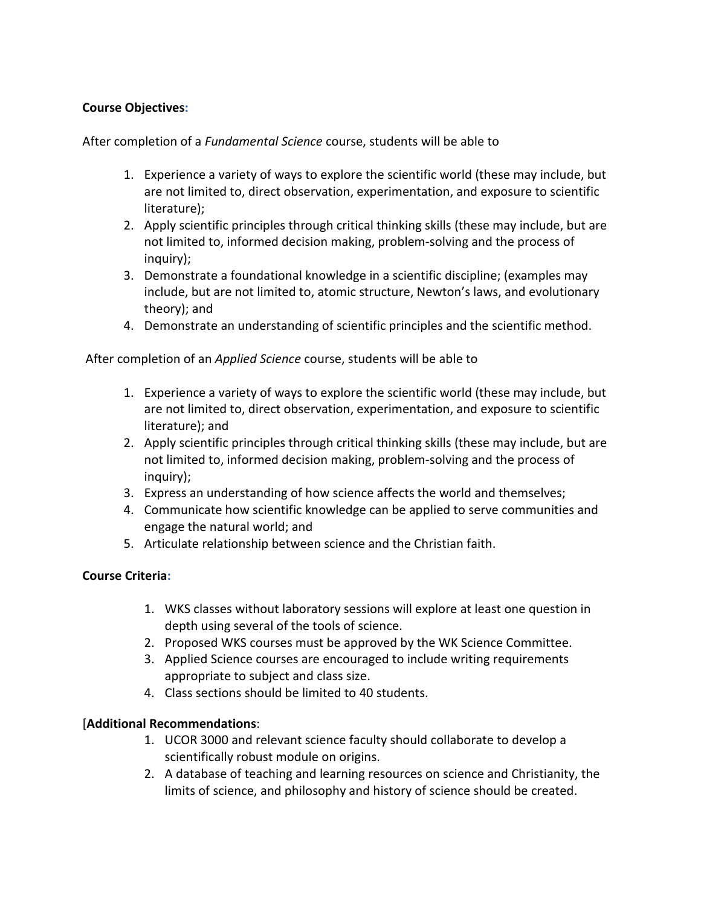# **Course Objectives:**

After completion of a *Fundamental Science* course, students will be able to

- 1. Experience a variety of ways to explore the scientific world (these may include, but are not limited to, direct observation, experimentation, and exposure to scientific literature);
- 2. Apply scientific principles through critical thinking skills (these may include, but are not limited to, informed decision making, problem-solving and the process of inquiry);
- 3. Demonstrate a foundational knowledge in a scientific discipline; (examples may include, but are not limited to, atomic structure, Newton's laws, and evolutionary theory); and
- 4. Demonstrate an understanding of scientific principles and the scientific method.

After completion of an *Applied Science* course, students will be able to

- 1. Experience a variety of ways to explore the scientific world (these may include, but are not limited to, direct observation, experimentation, and exposure to scientific literature); and
- 2. Apply scientific principles through critical thinking skills (these may include, but are not limited to, informed decision making, problem-solving and the process of inquiry);
- 3. Express an understanding of how science affects the world and themselves;
- 4. Communicate how scientific knowledge can be applied to serve communities and engage the natural world; and
- 5. Articulate relationship between science and the Christian faith.

# **Course Criteria:**

- 1. WKS classes without laboratory sessions will explore at least one question in depth using several of the tools of science.
- 2. Proposed WKS courses must be approved by the WK Science Committee.
- 3. Applied Science courses are encouraged to include writing requirements appropriate to subject and class size.
- 4. Class sections should be limited to 40 students.

# [**Additional Recommendations**:

- 1. UCOR 3000 and relevant science faculty should collaborate to develop a scientifically robust module on origins.
- 2. A database of teaching and learning resources on science and Christianity, the limits of science, and philosophy and history of science should be created.